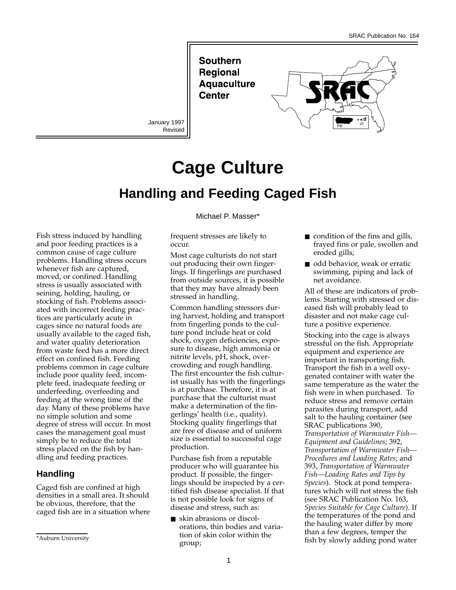**Southern Regional Aquaculture** Center

January 1997 Revised



# **Cage Culture Handling and Feeding Caged Fish**

Fish stress induced by handling and poor feeding practices is a common cause of cage culture problems. Handling stress occurs whenever fish are captured, moved, or confined. Handling stress is usually associated with seining, holding, hauling, or stocking of fish. Problems associated with incorrect feeding practices are particularly acute in cages since no natural foods are usually available to the caged fish, and water quality deterioration from waste feed has a more direct effect on confined fish. Feeding problems common in cage culture include poor quality feed, incomplete feed, inadequate feeding or underfeeding, overfeeding and feeding at the wrong time of the day. Many of these problems have no simple solution and some degree of stress will occur. In most cases the management goal must simply be to reduce the total stress placed on the fish by handling and feeding practices.

## **Handling**

Caged fish are confined at high densities in a small area. It should be obvious, therefore, that the caged fish are in a situation where Michael P. Masser\*

frequent stresses are likely to occur.

Most cage culturists do not start out producing their own fingerlings. If fingerlings are purchased from outside sources, it is possible that they may have already been stressed in handling.

Common handling stressors during harvest, holding and transport from fingerling ponds to the culture pond include heat or cold shock, oxygen deficiencies, exposure to disease, high ammonia or nitrite levels, pH, shock, overcrowding and rough handling. The first encounter the fish culturist usually has with the fingerlings is at purchase. Therefore, it is at purchase that the culturist must make a determination of the fingerlings' health (i.e., quality). Stocking quality fingerlings that are free of disease and of uniform size is essential to successful cage production.

Purchase fish from a reputable producer who will guarantee his product. If possible, the fingerlings should be inspected by a certified fish disease specialist. If that is not possible look for signs of disease and stress, such as:

■ skin abrasions or discolorations, thin bodies and variation of skin color within the group;

- condition of the fins and gills, frayed fins or pale, swollen and eroded gills;
- odd behavior, weak or erratic swimming, piping and lack of net avoidance.

All of these are indicators of problems. Starting with stressed or diseased fish will probably lead to disaster and not make cage culture a positive experience.

Stocking into the cage is always stressful on the fish. Appropriate equipment and experience are important in transporting fish. Transport the fish in a well oxygenated container with water the same temperature as the water the fish were in when purchased. To reduce stress and remove certain parasites during transport, add salt to the hauling container (see SRAC publications 390, *Transportation of Warmwater Fish— Equipment and Guidelines*; 392, *Transportation of Warmwater Fish— Procedures and Loading Rates*; and 393, *Transportation of Warmwater Fish—Loading Rates and Tips by Species*). Stock at pond temperatures which will not stress the fish (see SRAC Publication No. 163, *Species Suitable for Cage Culture*). If the temperatures of the pond and the hauling water differ by more than a few degrees, temper the fish by slowly adding pond water

<sup>\*</sup>Auburn University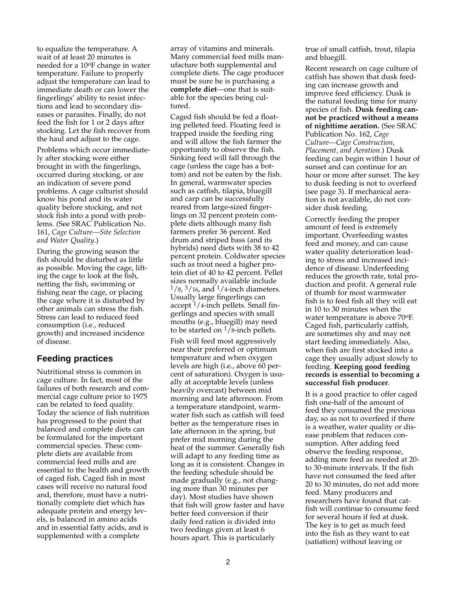to equalize the temperature. A wait of at least 20 minutes is needed for a 10oF change in water temperature. Failure to properly adjust the temperature can lead to immediate death or can lower the fingerlings' ability to resist infections and lead to secondary diseases or parasites. Finally, do not feed the fish for 1 or 2 days after stocking. Let the fish recover from the haul and adjust to the cage.

Problems which occur immediately after stocking were either brought in with the fingerlings, occurred during stocking, or are an indication of severe pond problems. A cage culturist should know his pond and its water quality before stocking, and not stock fish into a pond with problems. (See SRAC Publication No. 161, *Cage Culture—Site Selection and Water Quality*.)

During the growing season the fish should be disturbed as little as possible. Moving the cage, lifting the cage to look at the fish, netting the fish, swimming or fishing near the cage, or placing the cage where it is disturbed by other animals can stress the fish. Stress can lead to reduced feed consumption (i.e., reduced growth) and increased incidence of disease.

## **Feeding practices**

Nutritional stress is common in cage culture. In fact, most of the failures of both research and commercial cage culture prior to 1975 can be related to feed quality. Today the science of fish nutrition has progressed to the point that balanced and complete diets can be formulated for the important commercial species. These complete diets are available from commercial feed mills and are essential to the health and growth of caged fish. Caged fish in most cases will receive no natural food and, therefore, must have a nutritionally complete diet which has adequate protein and energy levels, is balanced in amino acids and in essential fatty acids, and is supplemented with a complete

array of vitamins and minerals. Many commercial feed mills manufacture both supplemental and complete diets. The cage producer must be sure he is purchasing a **complete diet**—one that is suitable for the species being cultured.

Caged fish should be fed a floating pelleted feed. Floating feed is trapped inside the feeding ring and will allow the fish farmer the opportunity to observe the fish. Sinking feed will fall through the cage (unless the cage has a bottom) and not be eaten by the fish. In general, warmwater species such as catfish, tilapia, bluegill and carp can be successfully reared from large-sized fingerlings on 32 percent protein complete diets although many fish farmers prefer 36 percent. Red drum and striped bass (and its hybrids) need diets with 38 to 42 percent protein. Coldwater species such as trout need a higher protein diet of 40 to 42 percent. Pellet sizes normally available include  $1/8$ ,  $3/16$ , and  $1/4$ -inch diameters. Usually large fingerlings can  $accept<sup>1</sup>/4$ -inch pellets. Small fingerlings and species with small mouths (e.g., bluegill) may need to be started on  $\frac{1}{8}$ -inch pellets.

Fish will feed most aggressively near their preferred or optimum temperature and when oxygen levels are high (i.e., above 60 percent of saturation). Oxygen is usually at acceptable levels (unless heavily overcast) between mid morning and late afternoon. From a temperature standpoint, warmwater fish such as catfish will feed better as the temperature rises in late afternoon in the spring, but prefer mid morning during the heat of the summer. Generally fish will adapt to any feeding time as long as it is consistent. Changes in the feeding schedule should be made gradually (e.g., not changing more than 30 minutes per day). Most studies have shown that fish will grow faster and have better feed conversion if their daily feed ration is divided into two feedings given at least 6 hours apart. This is particularly

true of small catfish, trout, tilapia and bluegill.

Recent research on cage culture of catfish has shown that dusk feeding can increase growth and improve feed efficiency. Dusk is the natural feeding time for many species of fish. **Dusk feeding cannot be practiced without a means of nighttime aeration.** (See SRAC Publication No. 162, *Cage Culture—Cage Construction, Placement, and Aeration*.) Dusk feeding can begin within 1 hour of sunset and can continue for an hour or more after sunset. The key to dusk feeding is not to overfeed (see page 3). If mechanical aeration is not available, do not consider dusk feeding.

Correctly feeding the proper amount of feed is extremely important. Overfeeding wastes feed and money, and can cause water quality deterioration leading to stress and increased incidence of disease. Underfeeding reduces the growth rate, total production and profit. A general rule of thumb for most warmwater fish is to feed fish all they will eat in 10 to 30 minutes when the water temperature is above 70oF. Caged fish, particularly catfish, are sometimes shy and may not start feeding immediately. Also, when fish are first stocked into a cage they usually adjust slowly to feeding. **Keeping good feeding records is essential to becoming a successful fish producer**.

It is a good practice to offer caged fish one-half of the amount of feed they consumed the previous day, so as not to overfeed if there is a weather, water quality or disease problem that reduces consumption. After adding feed observe the feeding response, adding more feed as needed at 20 to 30-minute intervals. If the fish have not consumed the feed after 20 to 30 minutes, do not add more feed. Many producers and researchers have found that catfish will continue to consume feed for several hours if fed at dusk. The key is to get as much feed into the fish as they want to eat (satiation) without leaving or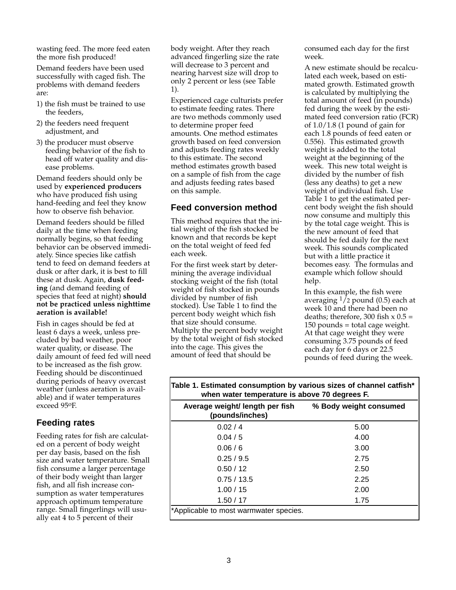wasting feed. The more feed eaten the more fish produced!

Demand feeders have been used successfully with caged fish. The problems with demand feeders are:

- 1) the fish must be trained to use the feeders,
- 2) the feeders need frequent adjustment, and
- 3) the producer must observe feeding behavior of the fish to head off water quality and disease problems.

Demand feeders should only be used by **experienced producers** who have produced fish using hand-feeding and feel they know how to observe fish behavior.

Demand feeders should be filled daily at the time when feeding normally begins, so that feeding behavior can be observed immediately. Since species like catfish tend to feed on demand feeders at dusk or after dark, it is best to fill these at dusk. Again, **dusk feeding** (and demand feeding of species that feed at night) **should not be practiced unless nighttime aeration is available!**

Fish in cages should be fed at least 6 days a week, unless precluded by bad weather, poor water quality, or disease. The daily amount of feed fed will need to be increased as the fish grow. Feeding should be discontinued during periods of heavy overcast weather (unless aeration is available) and if water temperatures exceed 95oF.

## **Feeding rates**

Feeding rates for fish are calculated on a percent of body weight per day basis, based on the fish size and water temperature. Small fish consume a larger percentage of their body weight than larger fish, and all fish increase consumption as water temperatures approach optimum temperature range. Small fingerlings will usually eat 4 to 5 percent of their

body weight. After they reach advanced fingerling size the rate will decrease to 3 percent and nearing harvest size will drop to only 2 percent or less (see Table 1).

Experienced cage culturists prefer to estimate feeding rates. There are two methods commonly used to determine proper feed amounts. One method estimates growth based on feed conversion and adjusts feeding rates weekly to this estimate. The second method estimates growth based on a sample of fish from the cage and adjusts feeding rates based on this sample.

## **Feed conversion method**

This method requires that the initial weight of the fish stocked be known and that records be kept on the total weight of feed fed each week.

For the first week start by determining the average individual stocking weight of the fish (total weight of fish stocked in pounds divided by number of fish stocked). Use Table 1 to find the percent body weight which fish that size should consume. Multiply the percent body weight by the total weight of fish stocked into the cage. This gives the amount of feed that should be

consumed each day for the first week.

A new estimate should be recalculated each week, based on estimated growth. Estimated growth is calculated by multiplying the total amount of feed (in pounds) fed during the week by the estimated feed conversion ratio (FCR) of 1.0/1.8 (1 pound of gain for each 1.8 pounds of feed eaten or 0.556). This estimated growth weight is added to the total weight at the beginning of the week. This new total weight is divided by the number of fish (less any deaths) to get a new weight of individual fish. Use Table 1 to get the estimated percent body weight the fish should now consume and multiply this by the total cage weight. This is the new amount of feed that should be fed daily for the next week. This sounds complicated but with a little practice it becomes easy. The formulas and example which follow should help.

In this example, the fish were averaging  $\frac{1}{2}$  pound (0.5) each at week 10 and there had been no deaths; therefore, 300 fish  $x = 0.5$  = 150 pounds = total cage weight. At that cage weight they were consuming 3.75 pounds of feed each day for 6 days or 22.5 pounds of feed during the week.

| wrien water temperature is above 70 degrees F.     |                        |  |
|----------------------------------------------------|------------------------|--|
| Average weight/ length per fish<br>(pounds/inches) | % Body weight consumed |  |
| 0.02/4                                             | 5.00                   |  |
| 0.04/5                                             | 4.00                   |  |
| 0.06/6                                             | 3.00                   |  |
| 0.25/9.5                                           | 2.75                   |  |
| 0.50 / 12                                          | 2.50                   |  |
| 0.75/13.5                                          | 2.25                   |  |
| 1.00 / 15                                          | 2.00                   |  |
| 1.50 / 17                                          | 1.75                   |  |
| *Applicable to most warmwater species.             |                        |  |

#### **Table 1. Estimated consumption by various sizes of channel catfish\* when water temperature is above 70 degrees F.**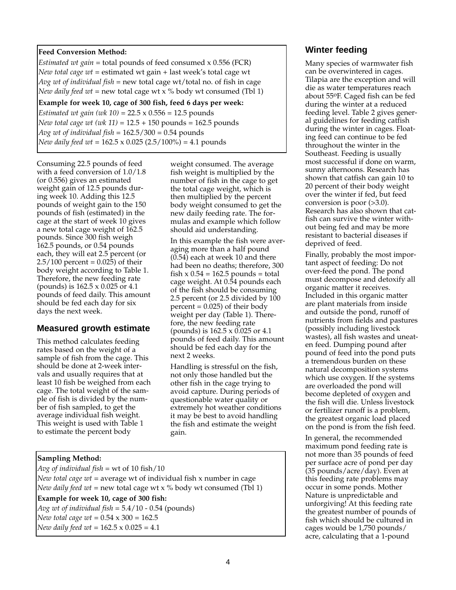#### **Feed Conversion Method:**

*Estimated wt gain* = total pounds of feed consumed x 0.556 (FCR) *New total cage wt* = estimated wt gain + last week's total cage wt *Avg wt of individual fish* = new total cage wt/total no. of fish in cage *New daily feed wt* = new total cage wt x % body wt consumed (Tbl 1)

#### **Example for week 10, cage of 300 fish, feed 6 days per week:**

*Estimated wt gain (wk 10)* = 22.5 x 0.556 = 12.5 pounds *New total cage wt (wk 11)* = 12.5 + 150 pounds = 162.5 pounds *Avg wt of individual fish* = 162.5/300 = 0.54 pounds *New daily feed wt* = 162.5 x 0.025 (2.5/100%) = 4.1 pounds

Consuming 22.5 pounds of feed with a feed conversion of 1.0/1.8 (or 0.556) gives an estimated weight gain of 12.5 pounds during week 10. Adding this 12.5 pounds of weight gain to the 150 pounds of fish (estimated) in the cage at the start of week 10 gives a new total cage weight of 162.5 pounds. Since 300 fish weigh 162.5 pounds, or 0.54 pounds each, they will eat 2.5 percent (or  $2.5/100$  percent = 0.025) of their body weight according to Table 1. Therefore, the new feeding rate (pounds) is 162.5 x 0.025 or 4.1 pounds of feed daily. This amount should be fed each day for six days the next week.

## **Measured growth estimate**

This method calculates feeding rates based on the weight of a sample of fish from the cage. This should be done at 2-week intervals and usually requires that at least 10 fish be weighed from each cage. The total weight of the sample of fish is divided by the number of fish sampled, to get the average individual fish weight. This weight is used with Table 1 to estimate the percent body

weight consumed. The average fish weight is multiplied by the number of fish in the cage to get the total cage weight, which is then multiplied by the percent body weight consumed to get the new daily feeding rate. The formulas and example which follow should aid understanding.

In this example the fish were averaging more than a half pound (0.54) each at week 10 and there had been no deaths; therefore, 300 fish  $x$  0.54 = 162.5 pounds = total cage weight. At 0.54 pounds each of the fish should be consuming 2.5 percent (or 2.5 divided by 100  $percent = 0.025$ ) of their body weight per day (Table 1). Therefore, the new feeding rate (pounds) is 162.5 x 0.025 or 4.1 pounds of feed daily. This amount should be fed each day for the next 2 weeks.

Handling is stressful on the fish, not only those handled but the other fish in the cage trying to avoid capture. During periods of questionable water quality or extremely hot weather conditions it may be best to avoid handling the fish and estimate the weight gain.

## **Sampling Method:**

*Avg of individual fish* = wt of 10 fish/10 *New total cage wt* = average wt of individual fish x number in cage *New daily feed wt* = new total cage wt x % body wt consumed (Tbl 1) **Example for week 10, cage of 300 fish:** *Avg wt of individual fish* = 5.4/10 - 0.54 (pounds) *New total cage wt* = 0.54 x 300 = 162.5 *New daily feed wt* = 162.5 x 0.025 = 4.1

## **Winter feeding**

Many species of warmwater fish can be overwintered in cages. Tilapia are the exception and will die as water temperatures reach about 55oF. Caged fish can be fed during the winter at a reduced feeding level. Table 2 gives general guidelines for feeding catfish during the winter in cages. Floating feed can continue to be fed throughout the winter in the Southeast. Feeding is usually most successful if done on warm, sunny afternoons. Research has shown that catfish can gain 10 to 20 percent of their body weight over the winter if fed, but feed conversion is poor (>3.0). Research has also shown that catfish can survive the winter without being fed and may be more resistant to bacterial diseases if deprived of feed.

Finally, probably the most important aspect of feeding: Do not over-feed the pond. The pond must decompose and detoxify all organic matter it receives. Included in this organic matter are plant materials from inside and outside the pond, runoff of nutrients from fields and pastures (possibly including livestock wastes), all fish wastes and uneaten feed. Dumping pound after pound of feed into the pond puts a tremendous burden on these natural decomposition systems which use oxygen. If the systems are overloaded the pond will become depleted of oxygen and the fish will die. Unless livestock or fertilizer runoff is a problem, the greatest organic load placed on the pond is from the fish feed.

In general, the recommended maximum pond feeding rate is not more than 35 pounds of feed per surface acre of pond per day (35 pounds/acre/day). Even at this feeding rate problems may occur in some ponds. Mother Nature is unpredictable and unforgiving! At this feeding rate the greatest number of pounds of fish which should be cultured in cages would be 1,750 pounds/ acre, calculating that a 1-pound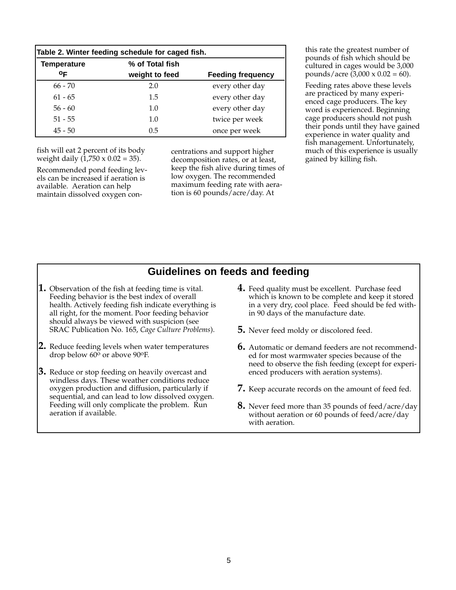| Table 2. Winter feeding schedule for caged fish. |                 |                          |
|--------------------------------------------------|-----------------|--------------------------|
| <b>Temperature</b>                               | % of Total fish |                          |
| ΟF                                               | weight to feed  | <b>Feeding frequency</b> |
| $66 - 70$                                        | 2.0             | every other day          |
| $61 - 65$                                        | 1.5             | every other day          |
| $56 - 60$                                        | 1.0             | every other day          |
| $51 - 55$                                        | 1.0             | twice per week           |
| $45 - 50$                                        | 0.5             | once per week            |

fish will eat 2 percent of its body weight daily  $(1,750 \times 0.02 = 35)$ .

Recommended pond feeding levels can be increased if aeration is available. Aeration can help maintain dissolved oxygen concentrations and support higher decomposition rates, or at least, keep the fish alive during times of low oxygen. The recommended maximum feeding rate with aeration is 60 pounds/acre/day. At

this rate the greatest number of pounds of fish which should be cultured in cages would be 3,000 pounds/acre  $(3,000 \times 0.02 = 60)$ .

Feeding rates above these levels are practiced by many experienced cage producers. The key word is experienced. Beginning cage producers should not push their ponds until they have gained experience in water quality and fish management. Unfortunately, much of this experience is usually gained by killing fish.

# **Guidelines on feeds and feeding**

- **1.** Observation of the fish at feeding time is vital. Feeding behavior is the best index of overall health. Actively feeding fish indicate everything is all right, for the moment. Poor feeding behavior should always be viewed with suspicion (see SRAC Publication No. 165, *Cage Culture Problems*).
- **2.** Reduce feeding levels when water temperatures drop below 60<sup>o</sup> or above 90<sup>o</sup>F.
- **3.** Reduce or stop feeding on heavily overcast and windless days. These weather conditions reduce oxygen production and diffusion, particularly if sequential, and can lead to low dissolved oxygen. Feeding will only complicate the problem. Run aeration if available.
- **4.** Feed quality must be excellent. Purchase feed which is known to be complete and keep it stored in a very dry, cool place. Feed should be fed within 90 days of the manufacture date.
- **5.** Never feed moldy or discolored feed.
- **6.** Automatic or demand feeders are not recommended for most warmwater species because of the need to observe the fish feeding (except for experienced producers with aeration systems).
- **7.** Keep accurate records on the amount of feed fed.
- **8.** Never feed more than 35 pounds of feed/acre/day without aeration or 60 pounds of feed/acre/day with aeration.